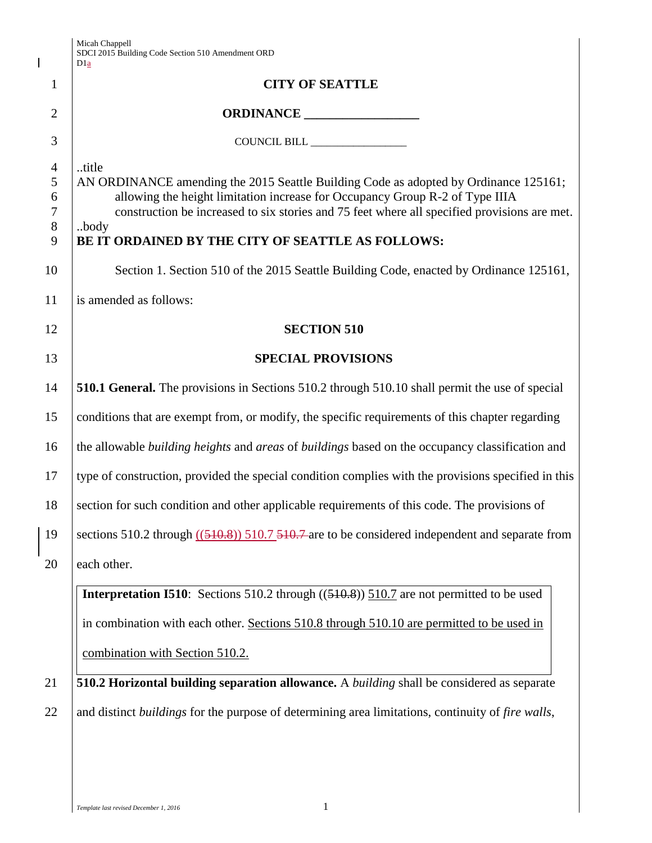|                                             | D1a                                                                                                                                                                                                                                                                                                                                        |  |  |  |
|---------------------------------------------|--------------------------------------------------------------------------------------------------------------------------------------------------------------------------------------------------------------------------------------------------------------------------------------------------------------------------------------------|--|--|--|
| $\mathbf{1}$                                | <b>CITY OF SEATTLE</b>                                                                                                                                                                                                                                                                                                                     |  |  |  |
| $\overline{2}$                              | ORDINANCE                                                                                                                                                                                                                                                                                                                                  |  |  |  |
| 3                                           |                                                                                                                                                                                                                                                                                                                                            |  |  |  |
| $\overline{4}$<br>5<br>6<br>7<br>$8\,$<br>9 | title<br>AN ORDINANCE amending the 2015 Seattle Building Code as adopted by Ordinance 125161;<br>allowing the height limitation increase for Occupancy Group R-2 of Type IIIA<br>construction be increased to six stories and 75 feet where all specified provisions are met.<br>body<br>BE IT ORDAINED BY THE CITY OF SEATTLE AS FOLLOWS: |  |  |  |
| 10                                          | Section 1. Section 510 of the 2015 Seattle Building Code, enacted by Ordinance 125161,                                                                                                                                                                                                                                                     |  |  |  |
| 11                                          | is amended as follows:                                                                                                                                                                                                                                                                                                                     |  |  |  |
| 12                                          | <b>SECTION 510</b>                                                                                                                                                                                                                                                                                                                         |  |  |  |
| 13                                          | <b>SPECIAL PROVISIONS</b>                                                                                                                                                                                                                                                                                                                  |  |  |  |
| 14                                          | <b>510.1 General.</b> The provisions in Sections 510.2 through 510.10 shall permit the use of special                                                                                                                                                                                                                                      |  |  |  |
| 15                                          | conditions that are exempt from, or modify, the specific requirements of this chapter regarding                                                                                                                                                                                                                                            |  |  |  |
| 16                                          | the allowable building heights and areas of buildings based on the occupancy classification and                                                                                                                                                                                                                                            |  |  |  |
| 17                                          | type of construction, provided the special condition complies with the provisions specified in this                                                                                                                                                                                                                                        |  |  |  |
| 18                                          | section for such condition and other applicable requirements of this code. The provisions of                                                                                                                                                                                                                                               |  |  |  |
| 19                                          | sections 510.2 through $((\underline{510.8}))$ 510.7 510.7 are to be considered independent and separate from                                                                                                                                                                                                                              |  |  |  |
| 20                                          | each other.                                                                                                                                                                                                                                                                                                                                |  |  |  |
| 21                                          | <b>Interpretation I510</b> : Sections 510.2 through $((510.8))$ 510.7 are not permitted to be used<br>in combination with each other. Sections 510.8 through 510.10 are permitted to be used in<br>combination with Section 510.2.<br>510.2 Horizontal building separation allowance. A building shall be considered as separate           |  |  |  |
| 22                                          | and distinct <i>buildings</i> for the purpose of determining area limitations, continuity of <i>fire walls</i> ,                                                                                                                                                                                                                           |  |  |  |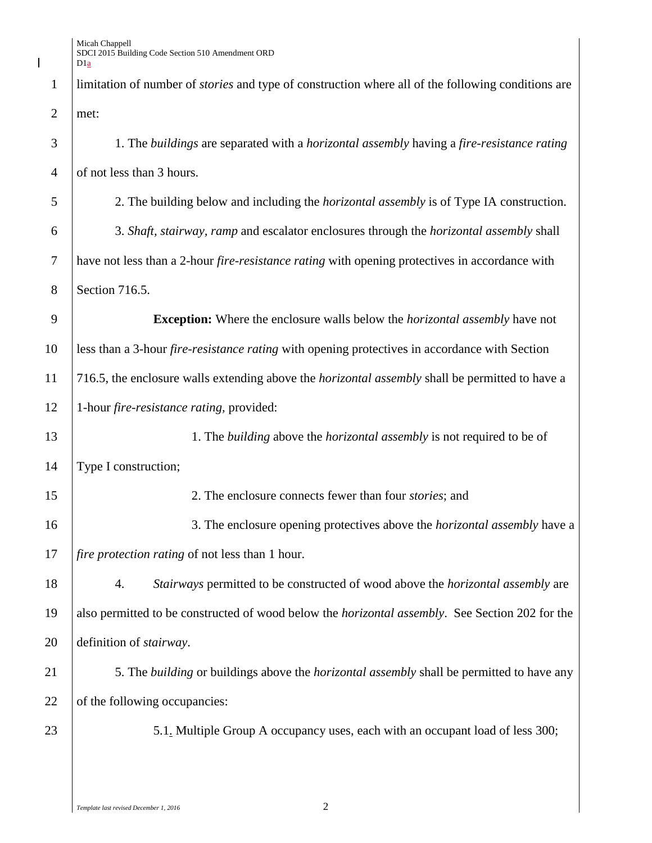limitation of number of *stories* and type of construction where all of the following conditions are 2  $|$  met: 1. The *buildings* are separated with a *horizontal assembly* having a *fire-resistance rating* 4 of not less than 3 hours. 2. The building below and including the *horizontal assembly* is of Type IA construction. 3. *Shaft, stairway, ramp* and escalator enclosures through the *horizontal assembly* shall have not less than a 2-hour *fire-resistance rating* with opening protectives in accordance with 8 | Section 716.5. **Exception:** Where the enclosure walls below the *horizontal assembly* have not less than a 3-hour *fire-resistance rating* with opening protectives in accordance with Section 716.5, the enclosure walls extending above the *horizontal assembly* shall be permitted to have a 1-hour *fire-resistance rating,* provided: 13 13 1. The *building* above the *horizontal assembly* is not required to be of 14 Type I construction; 2. The enclosure connects fewer than four *stories*; and 3. The enclosure opening protectives above the *horizontal assembly* have a *fire protection rating* of not less than 1 hour. 4. *Stairways* permitted to be constructed of wood above the *horizontal assembly* are also permitted to be constructed of wood below the *horizontal assembly*. See Section 202 for the definition of *stairway*. 5. The *building* or buildings above the *horizontal assembly* shall be permitted to have any 22 of the following occupancies: 23 | 5.1. Multiple Group A occupancy uses, each with an occupant load of less 300;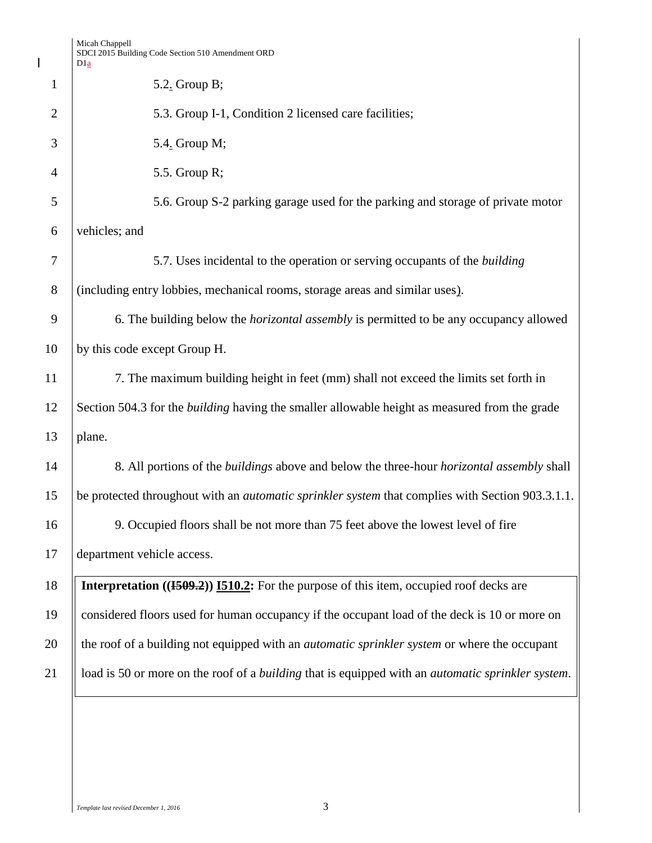|                | Micah Chappell<br>SDCI 2015 Building Code Section 510 Amendment ORD<br>D1a                                |  |  |  |  |
|----------------|-----------------------------------------------------------------------------------------------------------|--|--|--|--|
| 1              | 5.2. Group B;                                                                                             |  |  |  |  |
| $\overline{2}$ | 5.3. Group I-1, Condition 2 licensed care facilities;                                                     |  |  |  |  |
| 3              | 5.4. Group M;                                                                                             |  |  |  |  |
| 4              | 5.5. Group R;                                                                                             |  |  |  |  |
| 5              | 5.6. Group S-2 parking garage used for the parking and storage of private motor                           |  |  |  |  |
| 6              | vehicles; and                                                                                             |  |  |  |  |
| 7              | 5.7. Uses incidental to the operation or serving occupants of the <i>building</i>                         |  |  |  |  |
| 8              | (including entry lobbies, mechanical rooms, storage areas and similar uses).                              |  |  |  |  |
| 9              | 6. The building below the <i>horizontal assembly</i> is permitted to be any occupancy allowed             |  |  |  |  |
| 10             | by this code except Group H.                                                                              |  |  |  |  |
| 11             | 7. The maximum building height in feet (mm) shall not exceed the limits set forth in                      |  |  |  |  |
| 12             | Section 504.3 for the <i>building</i> having the smaller allowable height as measured from the grade      |  |  |  |  |
| 13             | plane.                                                                                                    |  |  |  |  |
| 14             | 8. All portions of the <i>buildings</i> above and below the three-hour <i>horizontal assembly</i> shall   |  |  |  |  |
| 15             | be protected throughout with an <i>automatic sprinkler system</i> that complies with Section 903.3.1.1.   |  |  |  |  |
| 16             | 9. Occupied floors shall be not more than 75 feet above the lowest level of fire                          |  |  |  |  |
| 17             | department vehicle access.                                                                                |  |  |  |  |
| 18             | <b>Interpretation</b> $((1509.2))$ <b>I510.2:</b> For the purpose of this item, occupied roof decks are   |  |  |  |  |
| 19             | considered floors used for human occupancy if the occupant load of the deck is 10 or more on              |  |  |  |  |
| 20             | the roof of a building not equipped with an <i>automatic sprinkler system</i> or where the occupant       |  |  |  |  |
| 21             | load is 50 or more on the roof of a building that is equipped with an <i>automatic sprinkler system</i> . |  |  |  |  |
|                |                                                                                                           |  |  |  |  |

 $\overline{\phantom{a}}$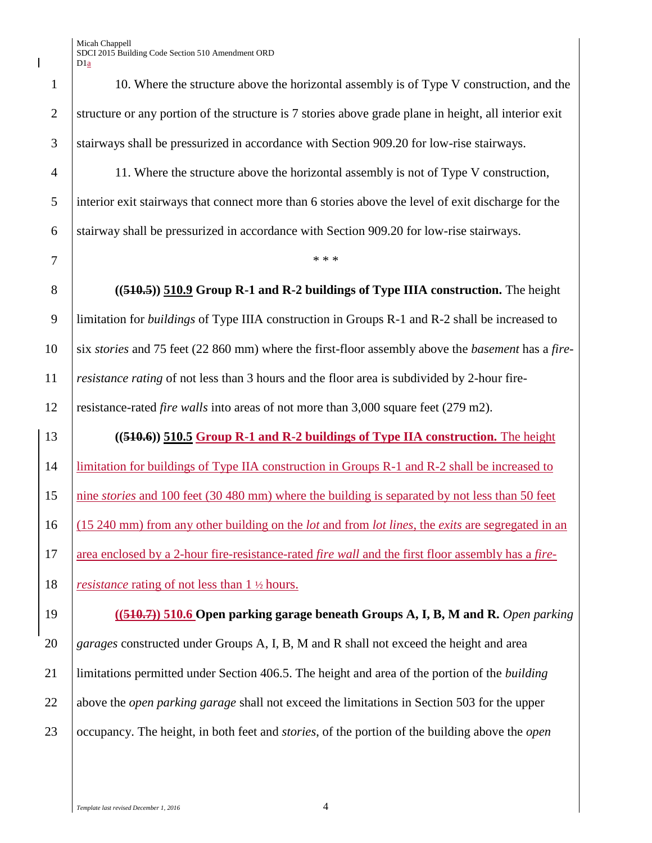1 10. Where the structure above the horizontal assembly is of Type V construction, and the 2 Structure or any portion of the structure is 7 stories above grade plane in height, all interior exit stairways shall be pressurized in accordance with Section 909.20 for low-rise stairways.

4 11. Where the structure above the horizontal assembly is not of Type V construction, interior exit stairways that connect more than 6 stories above the level of exit discharge for the stairway shall be pressurized in accordance with Section 909.20 for low-rise stairways.

\* \* \*

 **((510.5)) 510.9 Group R-1 and R-2 buildings of Type IIIA construction.** The height limitation for *buildings* of Type IIIA construction in Groups R-1 and R-2 shall be increased to six *stories* and 75 feet (22 860 mm) where the first-floor assembly above the *basement* has a *fire- resistance rating* of not less than 3 hours and the floor area is subdivided by 2-hour fire-resistance-rated *fire walls* into areas of not more than 3,000 square feet (279 m2).

 **((510.6)) 510.5 Group R-1 and R-2 buildings of Type IIA construction.** The height limitation for buildings of Type IIA construction in Groups R-1 and R-2 shall be increased to nine *stories* and 100 feet (30 480 mm) where the building is separated by not less than 50 feet (15 240 mm) from any other building on the *lot* and from *lot lines*, the *exits* are segregated in an area enclosed by a 2-hour fire-resistance-rated *fire wall* and the first floor assembly has a *fire-resistance* rating of not less than 1 ½ hours.

 **((510.7)) 510.6 Open parking garage beneath Groups A, I, B, M and R.** *Open parking garages* constructed under Groups A, I, B, M and R shall not exceed the height and area limitations permitted under Section 406.5. The height and area of the portion of the *building* above the *open parking garage* shall not exceed the limitations in Section 503 for the upper occupancy. The height, in both feet and *stories*, of the portion of the building above the *open*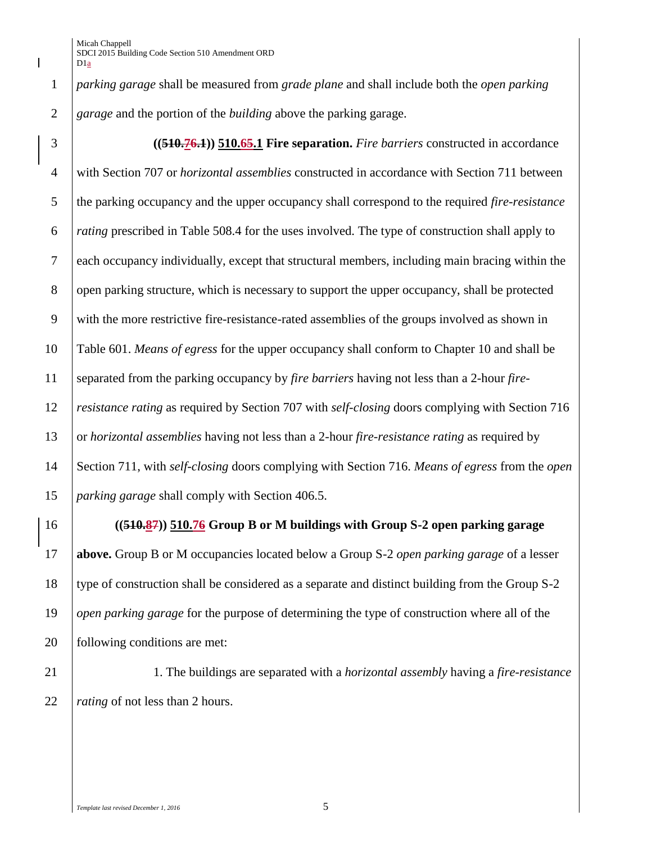*parking garage* shall be measured from *grade plane* and shall include both the *open parking garage* and the portion of the *building* above the parking garage.

 **((510.76.1)) 510.65.1 Fire separation.** *Fire barriers* constructed in accordance with Section 707 or *horizontal assemblies* constructed in accordance with Section 711 between the parking occupancy and the upper occupancy shall correspond to the required *fire-resistance rating* prescribed in Table 508.4 for the uses involved. The type of construction shall apply to each occupancy individually, except that structural members, including main bracing within the open parking structure, which is necessary to support the upper occupancy, shall be protected with the more restrictive fire-resistance-rated assemblies of the groups involved as shown in Table 601. *Means of egress* for the upper occupancy shall conform to Chapter 10 and shall be separated from the parking occupancy by *fire barriers* having not less than a 2-hour *fire- resistance rating* as required by Section 707 with *self-closing* doors complying with Section 716 or *horizontal assemblies* having not less than a 2-hour *fire-resistance rating* as required by Section 711, with *self-closing* doors complying with Section 716. *Means of egress* from the *open parking garage* shall comply with Section 406.5.

 **((510.87)) 510.76 Group B or M buildings with Group S-2 open parking garage above.** Group B or M occupancies located below a Group S-2 *open parking garage* of a lesser type of construction shall be considered as a separate and distinct building from the Group S-2 *open parking garage* for the purpose of determining the type of construction where all of the **following conditions are met:** 

 1. The buildings are separated with a *horizontal assembly* having a *fire-resistance rating* of not less than 2 hours.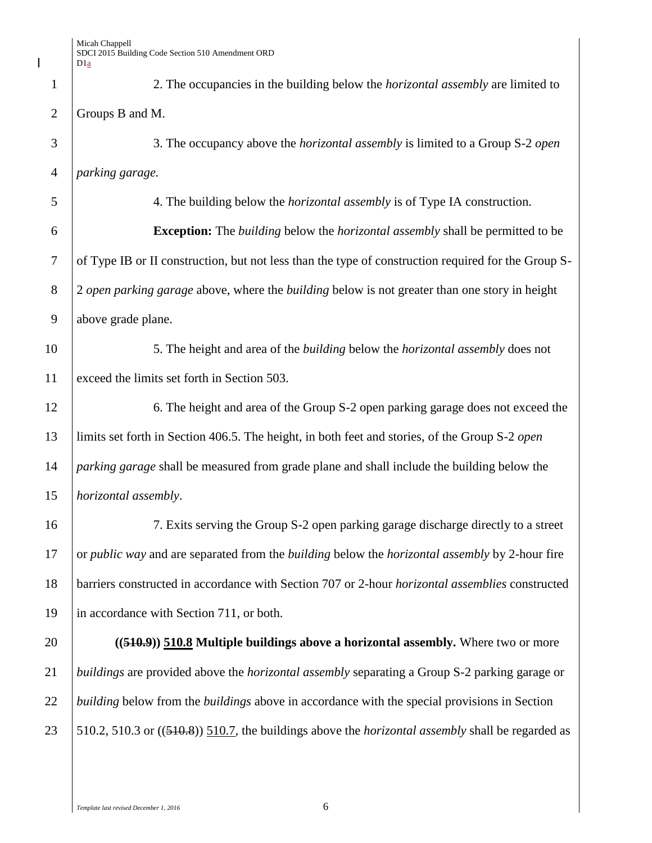$\begin{array}{c} \hline \end{array}$ 

| $\mathbf{1}$   | 2. The occupancies in the building below the <i>horizontal assembly</i> are limited to                              |  |  |  |
|----------------|---------------------------------------------------------------------------------------------------------------------|--|--|--|
| $\overline{2}$ | Groups B and M.                                                                                                     |  |  |  |
| 3              | 3. The occupancy above the <i>horizontal assembly</i> is limited to a Group S-2 <i>open</i>                         |  |  |  |
| $\overline{4}$ | parking garage.                                                                                                     |  |  |  |
| 5              | 4. The building below the <i>horizontal assembly</i> is of Type IA construction.                                    |  |  |  |
| 6              | <b>Exception:</b> The <i>building</i> below the <i>horizontal assembly</i> shall be permitted to be                 |  |  |  |
| $\tau$         | of Type IB or II construction, but not less than the type of construction required for the Group S-                 |  |  |  |
| $8\,$          | 2 open parking garage above, where the building below is not greater than one story in height                       |  |  |  |
| 9              | above grade plane.                                                                                                  |  |  |  |
| 10             | 5. The height and area of the building below the horizontal assembly does not                                       |  |  |  |
| 11             | exceed the limits set forth in Section 503.                                                                         |  |  |  |
| 12             | 6. The height and area of the Group S-2 open parking garage does not exceed the                                     |  |  |  |
| 13             | limits set forth in Section 406.5. The height, in both feet and stories, of the Group S-2 open                      |  |  |  |
| 14             | parking garage shall be measured from grade plane and shall include the building below the                          |  |  |  |
| 15             | horizontal assembly.                                                                                                |  |  |  |
| 16             | 7. Exits serving the Group S-2 open parking garage discharge directly to a street                                   |  |  |  |
| 17             | or <i>public way</i> and are separated from the <i>building</i> below the <i>horizontal assembly</i> by 2-hour fire |  |  |  |
| 18             | barriers constructed in accordance with Section 707 or 2-hour <i>horizontal assemblies</i> constructed              |  |  |  |
| 19             | in accordance with Section 711, or both.                                                                            |  |  |  |
| 20             | $((510.9))$ 510.8 Multiple buildings above a horizontal assembly. Where two or more                                 |  |  |  |
| 21             | buildings are provided above the <i>horizontal assembly</i> separating a Group S-2 parking garage or                |  |  |  |
| 22             | <i>building</i> below from the <i>buildings</i> above in accordance with the special provisions in Section          |  |  |  |
| 23             | 510.2, 510.3 or $((510.8))$ 510.7, the buildings above the <i>horizontal assembly</i> shall be regarded as          |  |  |  |
|                |                                                                                                                     |  |  |  |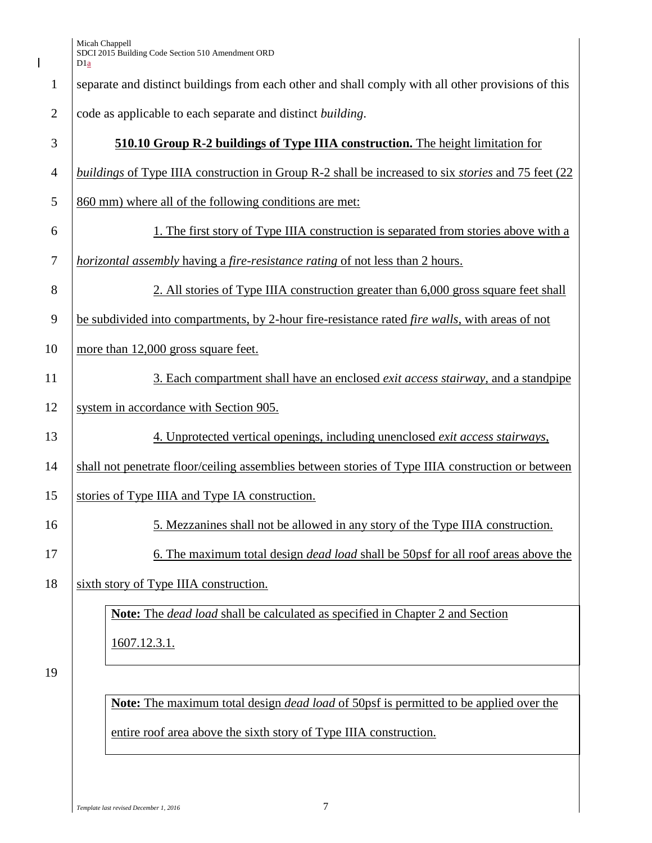$\overline{\phantom{a}}$ 

| $\mathbf{1}$   | separate and distinct buildings from each other and shall comply with all other provisions of this        |  |  |  |  |
|----------------|-----------------------------------------------------------------------------------------------------------|--|--|--|--|
| $\overline{2}$ | code as applicable to each separate and distinct building.                                                |  |  |  |  |
| 3              | 510.10 Group R-2 buildings of Type IIIA construction. The height limitation for                           |  |  |  |  |
| $\overline{4}$ | buildings of Type IIIA construction in Group R-2 shall be increased to six <i>stories</i> and 75 feet (22 |  |  |  |  |
| 5              | 860 mm) where all of the following conditions are met:                                                    |  |  |  |  |
| 6              | 1. The first story of Type IIIA construction is separated from stories above with a                       |  |  |  |  |
| $\tau$         | horizontal assembly having a fire-resistance rating of not less than 2 hours.                             |  |  |  |  |
| 8              | 2. All stories of Type IIIA construction greater than 6,000 gross square feet shall                       |  |  |  |  |
| 9              | be subdivided into compartments, by 2-hour fire-resistance rated fire walls, with areas of not            |  |  |  |  |
| 10             | more than 12,000 gross square feet.                                                                       |  |  |  |  |
| 11             | 3. Each compartment shall have an enclosed <i>exit access stairway</i> , and a standpipe                  |  |  |  |  |
| 12             | system in accordance with Section 905.                                                                    |  |  |  |  |
| 13             | 4. Unprotected vertical openings, including unenclosed <i>exit access stairways</i> ,                     |  |  |  |  |
| 14             | shall not penetrate floor/ceiling assemblies between stories of Type IIIA construction or between         |  |  |  |  |
| 15             | stories of Type IIIA and Type IA construction.                                                            |  |  |  |  |
| 16             | 5. Mezzanines shall not be allowed in any story of the Type IIIA construction.                            |  |  |  |  |
| 17             | <u>6. The maximum total design <i>dead load</i> shall be 50psf for all roof areas above the</u>           |  |  |  |  |
| 18             | sixth story of Type IIIA construction.                                                                    |  |  |  |  |
|                | Note: The <i>dead load</i> shall be calculated as specified in Chapter 2 and Section                      |  |  |  |  |
|                | 1607.12.3.1.                                                                                              |  |  |  |  |
| 19             |                                                                                                           |  |  |  |  |
|                | Note: The maximum total design <i>dead load</i> of 50psf is permitted to be applied over the              |  |  |  |  |

entire roof area above the sixth story of Type IIIA construction.

*Template last revised December 1, 2016* 7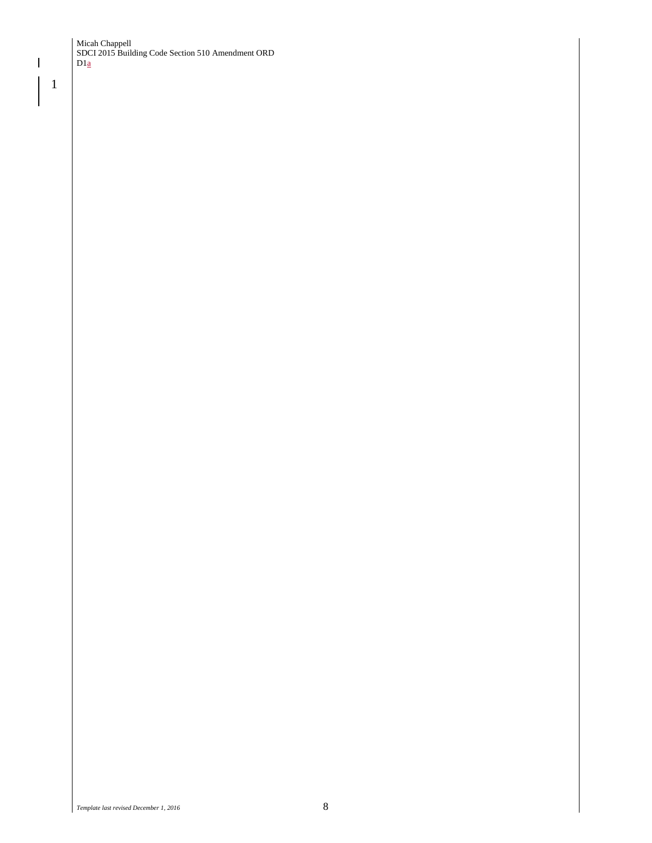1